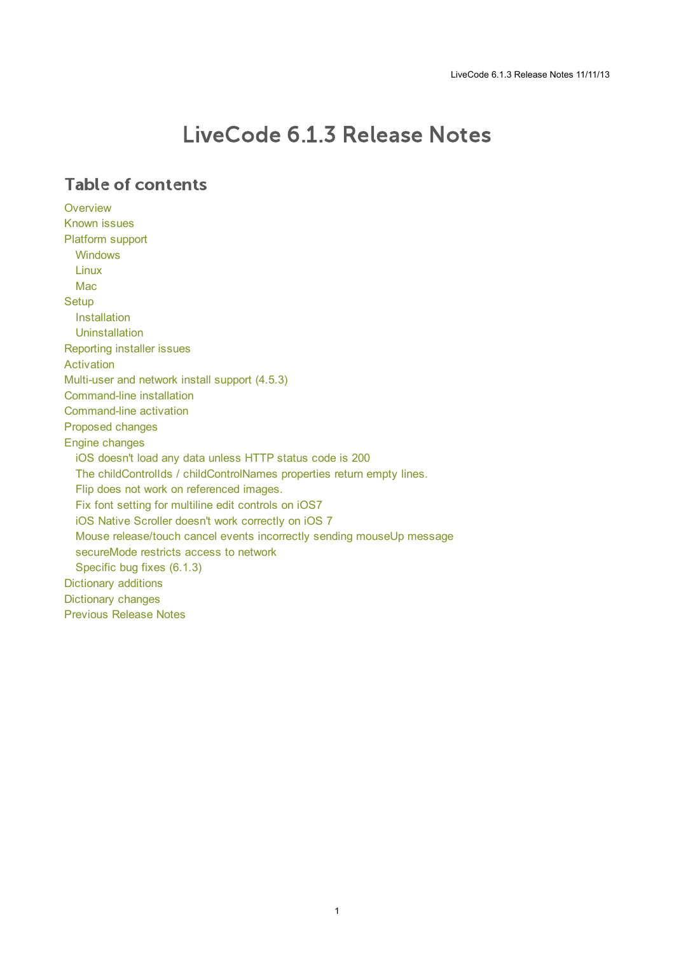# LiveCode 6.1.3 Release Notes

## **Table of contents**

**[Overview](#page-1-0)** [Known](#page-1-1) issues [Platform](#page-1-2) support [Windows](#page-1-3) [Linux](#page-1-4) [Mac](#page-2-0) **[Setup](#page-3-0)** [Installation](#page-3-1) [Uninstallation](#page-3-2) [Reporting](#page-3-3) installer issues [Activation](#page-4-0) [Multi-user](#page-4-1) and network install support (4.5.3) [Command-line](#page-4-2) installation [Command-line](#page-5-0) activation [Proposed](#page-5-1) changes Engine [changes](#page-6-0) iOS [doesn't](#page-6-1) load any data unless HTTP status code is 200 The childControlIds / [childControlNames](#page-6-2) properties return empty lines. Flip does not work on [referenced](#page-6-3) images. Fix font setting for [multiline](#page-6-4) edit controls on iOS7 iOS Native Scroller doesn't work [correctly](#page-6-5) on iOS 7 Mouse [release/touch](#page-6-6) cancel events incorrectly sending mouseUp message [secureMode](#page-6-7) restricts access to network [Specific](#page-6-8) bug fixes (6.1.3) [Dictionary](#page-7-0) additions [Dictionary](#page-7-1) changes [Previous](#page-9-0) Release Notes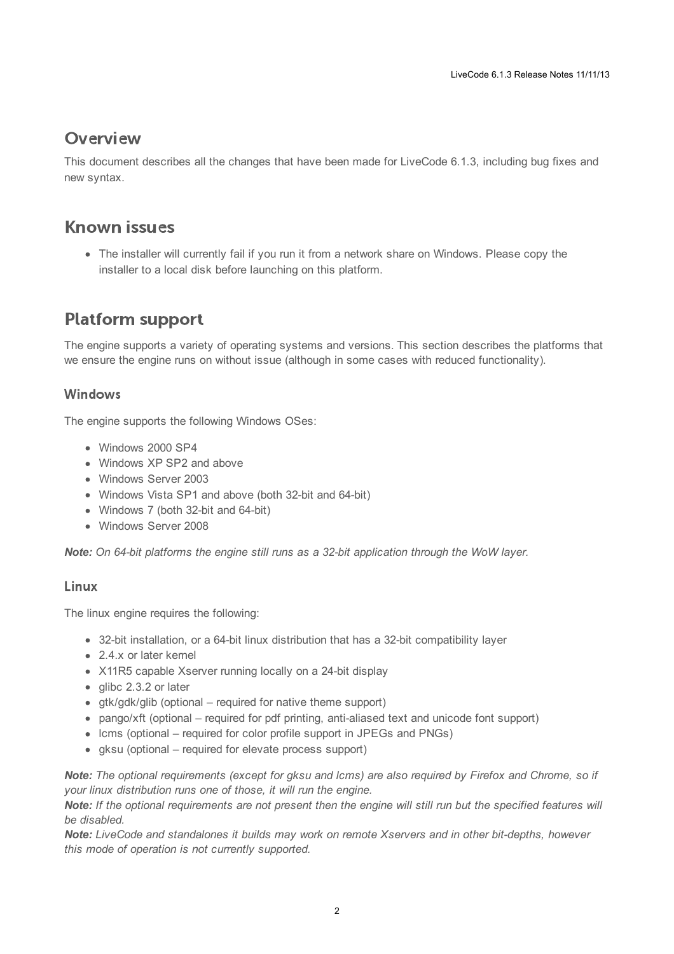## <span id="page-1-0"></span>**Overview**

This document describes all the changes that have been made for LiveCode 6.1.3, including bug fixes and new syntax.

## <span id="page-1-1"></span>**Known issues**

The installer will currently fail if you run it from a network share on Windows. Please copy the installer to a local disk before launching on this platform.

## <span id="page-1-2"></span>**Platform support**

The engine supports a variety of operating systems and versions. This section describes the platforms that we ensure the engine runs on without issue (although in some cases with reduced functionality).

### <span id="page-1-3"></span>Windows

The engine supports the following Windows OSes:

- Windows 2000 SP4
- Windows XP SP2 and above
- Windows Server 2003
- Windows Vista SP1 and above (both 32-bit and 64-bit)
- Windows 7 (both 32-bit and 64-bit)
- Windows Server 2008

*Note: On 64-bit platforms the engine still runs as a 32-bit application through the WoW layer.*

### <span id="page-1-4"></span>Linux

The linux engine requires the following:

- 32-bit installation, or a 64-bit linux distribution that has a 32-bit compatibility layer
- 2.4.x or later kernel
- X11R5 capable Xserver running locally on a 24-bit display
- glibc 2.3.2 or later
- gtk/gdk/glib (optional required for native theme support)
- pango/xft (optional required for pdf printing, anti-aliased text and unicode font support)
- lcms (optional required for color profile support in JPEGs and PNGs)
- gksu (optional required for elevate process support)

Note: The optional requirements (except for gksu and Icms) are also required by Firefox and Chrome, so if *your linux distribution runs one of those, it will run the engine.*

Note: If the optional requirements are not present then the engine will still run but the specified features will *be disabled.*

*Note: LiveCode and standalones it builds may work on remote Xservers and in other bit-depths, however this mode of operation is not currently supported.*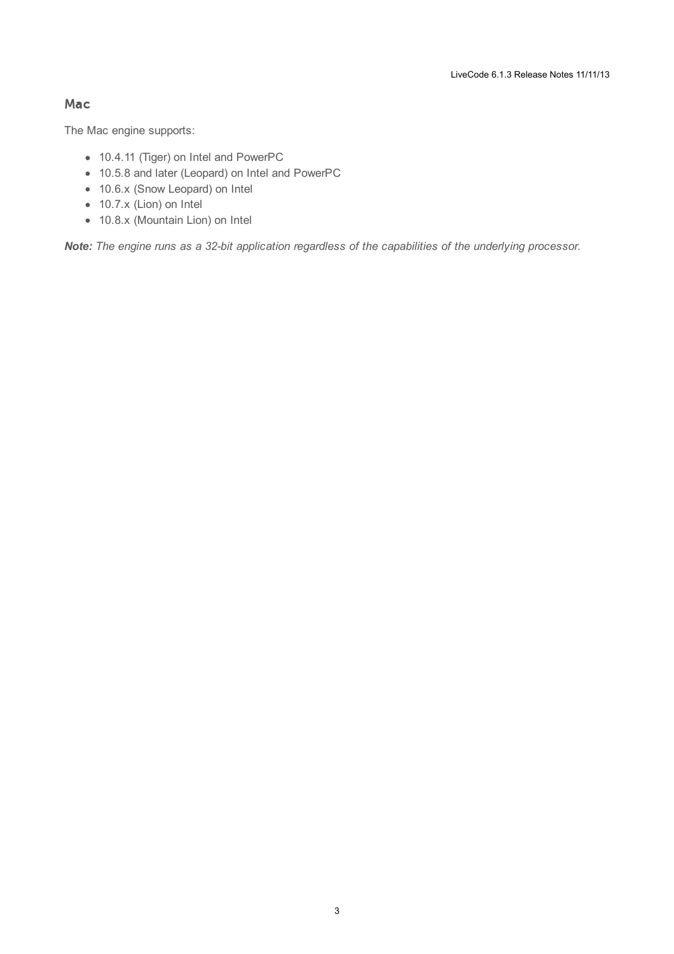### <span id="page-2-0"></span>Mac

The Mac engine supports:

- 10.4.11 (Tiger) on Intel and PowerPC
- 10.5.8 and later (Leopard) on Intel and PowerPC
- 10.6.x (Snow Leopard) on Intel
- 10.7.x (Lion) on Intel
- 10.8.x (Mountain Lion) on Intel

*Note: The engine runs as a 32-bit application regardless of the capabilities of the underlying processor.*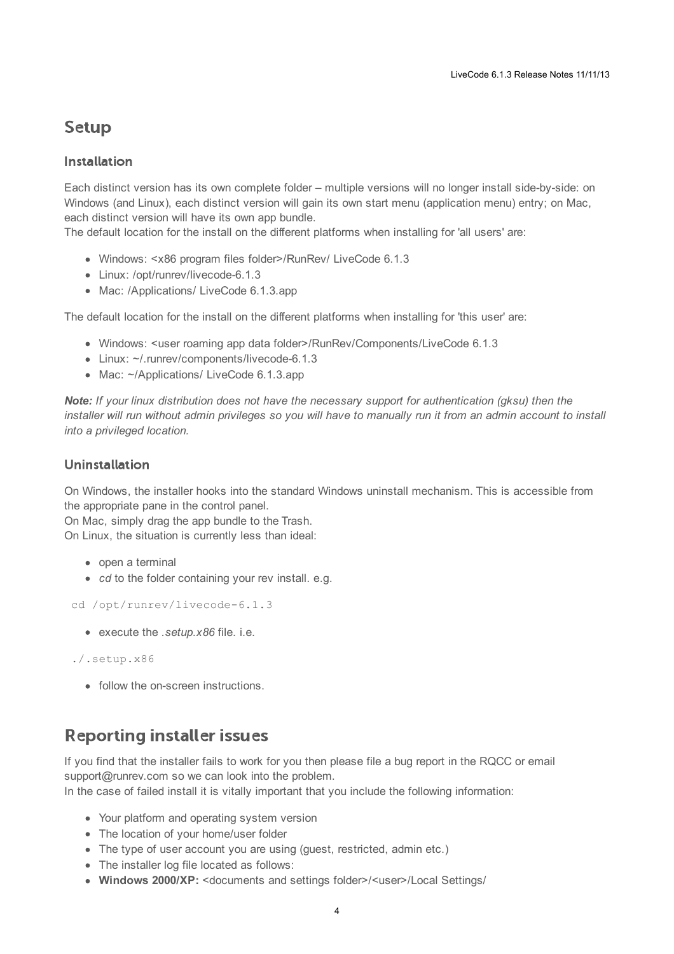## <span id="page-3-0"></span>**Setup**

#### <span id="page-3-1"></span>**Installation**

Each distinct version has its own complete folder – multiple versions will no longer install side-by-side: on Windows (and Linux), each distinct version will gain its own start menu (application menu) entry; on Mac, each distinct version will have its own app bundle.

The default location for the install on the different platforms when installing for 'all users' are:

- Windows: <x86 program files folder>/RunRev/ LiveCode 6.1.3
- Linux: /opt/runrev/livecode-6.1.3
- Mac: /Applications/ LiveCode 6.1.3.app

The default location for the install on the different platforms when installing for 'this user' are:

- Windows: <user roaming app data folder>/RunRev/Components/LiveCode 6.1.3
- Linux: ~/.runrev/components/livecode-6.1.3
- Mac: ~/Applications/ LiveCode 6.1.3.app

*Note: If your linux distribution does not have the necessary support for authentication (gksu) then the* installer will run without admin privileges so you will have to manually run it from an admin account to install *into a privileged location.*

#### <span id="page-3-2"></span>**Uninstallation**

On Windows, the installer hooks into the standard Windows uninstall mechanism. This is accessible from the appropriate pane in the control panel.

On Mac, simply drag the app bundle to the Trash. On Linux, the situation is currently less than ideal:

- open a terminal
- *cd* to the folder containing your rev install, e.g.

```
cd /opt/runrev/livecode-6.1.3
```
execute the *.setup.x86* file. i.e.

```
./.setup.x86
```
• follow the on-screen instructions.

## <span id="page-3-3"></span>**Reporting installer issues**

If you find that the installer fails to work for you then please file a bug report in the RQCC or email support@runrev.com so we can look into the problem.

In the case of failed install it is vitally important that you include the following information:

- Your platform and operating system version
- The location of your home/user folder
- The type of user account you are using (quest, restricted, admin etc.)
- The installer log file located as follows:
- **Windows 2000/XP:** <documents and settings folder>/<user>/Local Settings/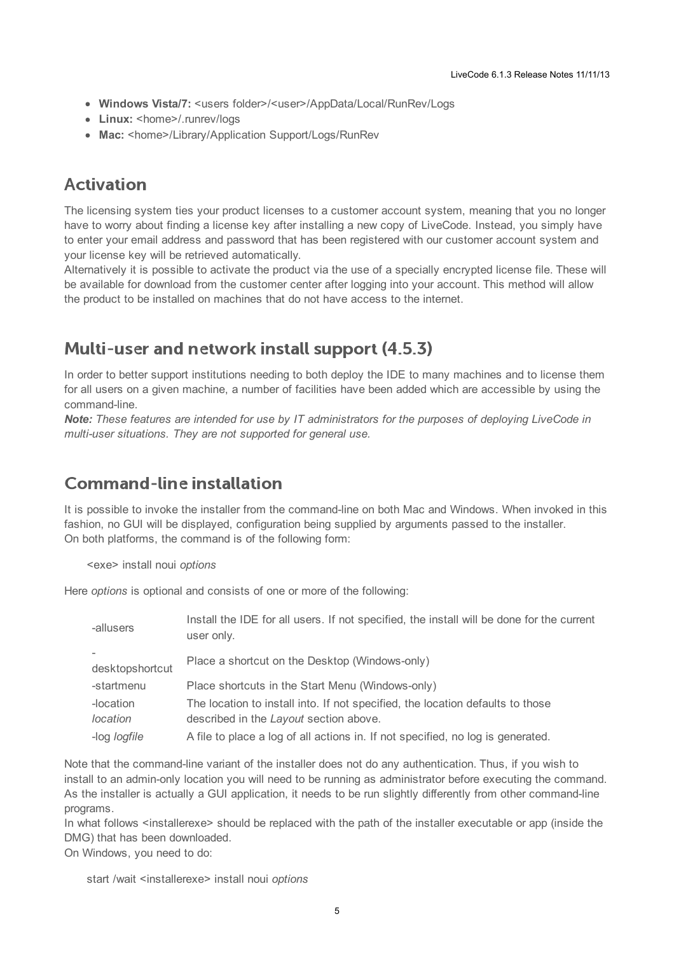- **Windows Vista/7:** <users folder>/<user>/AppData/Local/RunRev/Logs
- Linux: <home>/.runrev/logs
- Mac: <home>/Library/Application Support/Logs/RunRev

## <span id="page-4-0"></span>**Activation**

The licensing system ties your product licenses to a customer account system, meaning that you no longer have to worry about finding a license key after installing a new copy of LiveCode. Instead, you simply have to enter your email address and password that has been registered with our customer account system and your license key will be retrieved automatically.

Alternatively it is possible to activate the product via the use of a specially encrypted license file. These will be available for download from the customer center after logging into your account. This method will allow the product to be installed on machines that do not have access to the internet.

## <span id="page-4-1"></span>Multi-user and network install support (4.5.3)

In order to better support institutions needing to both deploy the IDE to many machines and to license them for all users on a given machine, a number of facilities have been added which are accessible by using the command-line.

*Note: These features are intended for use by IT administrators for the purposes of deploying LiveCode in multi-user situations. They are not supported for general use.*

## <span id="page-4-2"></span>**Command-line installation**

It is possible to invoke the installer from the command-line on both Mac and Windows. When invoked in this fashion, no GUI will be displayed, configuration being supplied by arguments passed to the installer. On both platforms, the command is of the following form:

<exe> install noui *options*

Here *options* is optional and consists of one or more of the following:

| -allusers           | Install the IDE for all users. If not specified, the install will be done for the current<br>user only. |
|---------------------|---------------------------------------------------------------------------------------------------------|
| desktopshortcut     | Place a shortcut on the Desktop (Windows-only)                                                          |
| -startmenu          | Place shortcuts in the Start Menu (Windows-only)                                                        |
| -location           | The location to install into. If not specified, the location defaults to those                          |
| <i>location</i>     | described in the Layout section above.                                                                  |
| -log <i>logfile</i> | A file to place a log of all actions in. If not specified, no log is generated.                         |

Note that the command-line variant of the installer does not do any authentication. Thus, if you wish to install to an admin-only location you will need to be running as administrator before executing the command. As the installer is actually a GUI application, it needs to be run slightly differently from other command-line programs.

In what follows <installerexe> should be replaced with the path of the installer executable or app (inside the DMG) that has been downloaded.

On Windows, you need to do:

start /wait <installerexe> install noui *options*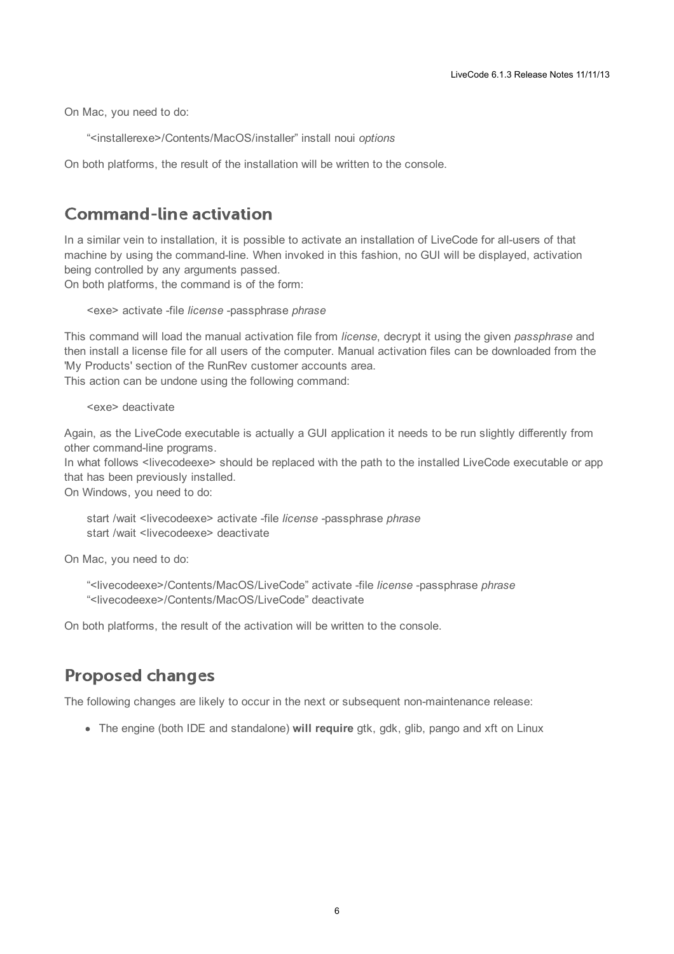On Mac, you need to do:

"<installerexe>/Contents/MacOS/installer" install noui *options*

On both platforms, the result of the installation will be written to the console.

### <span id="page-5-0"></span>**Command-line activation**

In a similar vein to installation, it is possible to activate an installation of LiveCode for all-users of that machine by using the command-line. When invoked in this fashion, no GUI will be displayed, activation being controlled by any arguments passed.

On both platforms, the command is of the form:

<exe> activate -file *license* -passphrase *phrase*

This command will load the manual activation file from *license*, decrypt it using the given *passphrase* and then install a license file for all users of the computer. Manual activation files can be downloaded from the 'My Products' section of the RunRev customer accounts area.

This action can be undone using the following command:

<exe> deactivate

Again, as the LiveCode executable is actually a GUI application it needs to be run slightly differently from other command-line programs.

In what follows <livecodeexe> should be replaced with the path to the installed LiveCode executable or app that has been previously installed.

On Windows, you need to do:

start /wait <livecodeexe> activate -file *license* -passphrase *phrase* start /wait <livecodeexe> deactivate

On Mac, you need to do:

"<livecodeexe>/Contents/MacOS/LiveCode" activate -file *license* -passphrase *phrase* "<livecodeexe>/Contents/MacOS/LiveCode" deactivate

On both platforms, the result of the activation will be written to the console.

### <span id="page-5-1"></span>**Proposed changes**

The following changes are likely to occur in the next or subsequent non-maintenance release:

• The engine (both IDE and standalone) **will require** gtk, gdk, glib, pango and xft on Linux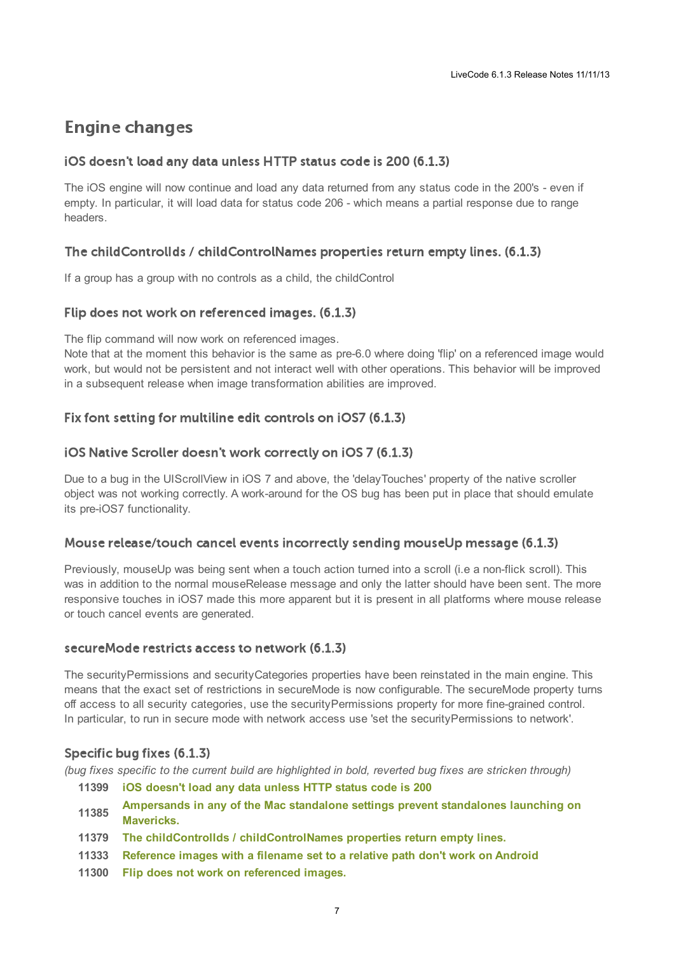## <span id="page-6-0"></span>**Engine changes**

### <span id="page-6-1"></span>iOS doesn't load any data unless HTTP status code is 200 (6.1.3)

The iOS engine will now continue and load any data returned from any status code in the 200's - even if empty. In particular, it will load data for status code 206 - which means a partial response due to range headers.

### <span id="page-6-2"></span>The childControllds / childControlNames properties return empty lines. (6.1.3)

If a group has a group with no controls as a child, the childControl

### <span id="page-6-3"></span>Flip does not work on referenced images. (6.1.3)

The flip command will now work on referenced images.

Note that at the moment this behavior is the same as pre-6.0 where doing 'flip' on a referenced image would work, but would not be persistent and not interact well with other operations. This behavior will be improved in a subsequent release when image transformation abilities are improved.

### <span id="page-6-4"></span>Fix font setting for multiline edit controls on iOS7 (6.1.3)

#### <span id="page-6-5"></span>iOS Native Scroller doesn't work correctly on iOS 7 (6.1.3)

Due to a bug in the UIScrollView in iOS 7 and above, the 'delayTouches' property of the native scroller object was not working correctly. A work-around for the OS bug has been put in place that should emulate its pre-iOS7 functionality.

### <span id="page-6-6"></span>Mouse release/touch cancel events incorrectly sending mouseUp message (6.1.3)

Previously, mouseUp was being sent when a touch action turned into a scroll (i.e a non-flick scroll). This was in addition to the normal mouseRelease message and only the latter should have been sent. The more responsive touches in iOS7 made this more apparent but it is present in all platforms where mouse release or touch cancel events are generated.

#### <span id="page-6-7"></span>secure Mode restricts access to network (6.1.3)

The securityPermissions and securityCategories properties have been reinstated in the main engine. This means that the exact set of restrictions in secureMode is now configurable. The secureMode property turns off access to all security categories, use the securityPermissions property for more fine-grained control. In particular, to run in secure mode with network access use 'set the securityPermissions to network'.

### <span id="page-6-8"></span>Specific bug fixes (6.1.3)

(bug fixes specific to the current build are highlighted in bold, reverted bug fixes are stricken through)

- **11399 iOS [doesn't](http://quality.runrev.com/show_bug.cgi?id=11399) load any data unless HTTP status code is 200**
- **11385 [Ampersands](http://quality.runrev.com/show_bug.cgi?id=11385) in any of the Mac standalone settings prevent standalones launching on Mavericks.**
- **11379 The childControlIds / [childControlNames](http://quality.runrev.com/show_bug.cgi?id=11379) properties return empty lines.**
- **11333 [Reference](http://quality.runrev.com/show_bug.cgi?id=11333) images with a filename set to a relative path don't work on Android**
- **11300 Flip does not work on [referenced](http://quality.runrev.com/show_bug.cgi?id=11300) images.**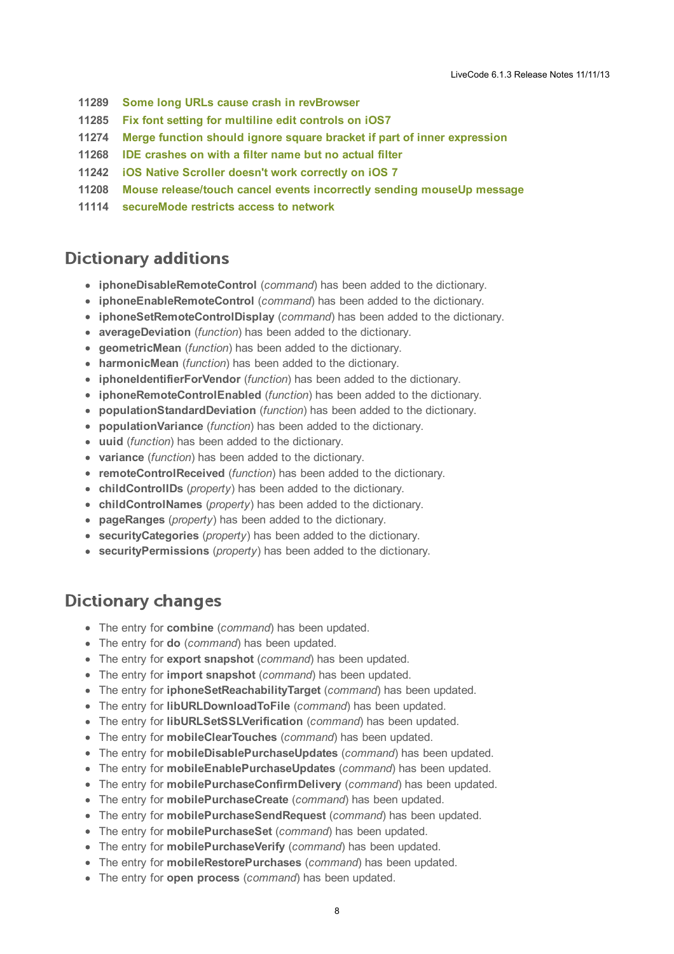- **11289 Some long URLs cause crash in [revBrowser](http://quality.runrev.com/show_bug.cgi?id=11289)**
- **11285 Fix font setting for [multiline](http://quality.runrev.com/show_bug.cgi?id=11285) edit controls on iOS7**
- **11274 Merge function should ignore square bracket if part of inner [expression](http://quality.runrev.com/show_bug.cgi?id=11274)**
- **11268 IDE [crashes](http://quality.runrev.com/show_bug.cgi?id=11268) on with a filter name but no actual filter**
- **11242 iOS Native Scroller doesn't work [correctly](http://quality.runrev.com/show_bug.cgi?id=11242) on iOS 7**
- **11208 Mouse [release/touch](http://quality.runrev.com/show_bug.cgi?id=11208) cancel events incorrectly sending mouseUp message**
- **11114 [secureMode](http://quality.runrev.com/show_bug.cgi?id=11114) restricts access to network**

## <span id="page-7-0"></span>**Dictionary additions**

- **iphoneDisableRemoteControl** (*command*) has been added to the dictionary.
- **iphoneEnableRemoteControl** (*command*) has been added to the dictionary.
- **iphoneSetRemoteControlDisplay** (*command*) has been added to the dictionary.
- **averageDeviation** (*function*) has been added to the dictionary.
- **geometricMean** (*function*) has been added to the dictionary.
- **harmonicMean** (*function*) has been added to the dictionary.
- **iphoneIdentifierForVendor** (*function*) has been added to the dictionary.
- **iphoneRemoteControlEnabled** (*function*) has been added to the dictionary.
- **populationStandardDeviation** (*function*) has been added to the dictionary.
- **populationVariance** (*function*) has been added to the dictionary.
- **uuid** (*function*) has been added to the dictionary.
- **variance** (*function*) has been added to the dictionary.
- **remoteControlReceived** (*function*) has been added to the dictionary.
- **childControlIDs** (*property*) has been added to the dictionary.
- **childControlNames** (*property*) has been added to the dictionary.
- **pageRanges** (*property*) has been added to the dictionary.
- **securityCategories** (*property*) has been added to the dictionary.
- **securityPermissions** (*property*) has been added to the dictionary.

## <span id="page-7-1"></span>**Dictionary changes**

- The entry for **combine** (*command*) has been updated.
- The entry for **do** (*command*) has been updated.
- The entry for **export snapshot** (*command*) has been updated.
- The entry for **import snapshot** (*command*) has been updated.
- The entry for **iphoneSetReachabilityTarget** (*command*) has been updated.
- The entry for **libURLDownloadToFile** (*command*) has been updated.
- The entry for **libURLSetSSLVerification** (*command*) has been updated.
- The entry for **mobileClearTouches** (*command*) has been updated.
- The entry for **mobileDisablePurchaseUpdates** (*command*) has been updated.
- The entry for **mobileEnablePurchaseUpdates** (*command*) has been updated.
- The entry for **mobilePurchaseConfirmDelivery** (*command*) has been updated.
- The entry for **mobilePurchaseCreate** (*command*) has been updated.
- The entry for **mobilePurchaseSendRequest** (*command*) has been updated.
- The entry for **mobilePurchaseSet** (*command*) has been updated.
- The entry for **mobilePurchaseVerify** (*command*) has been updated.
- The entry for **mobileRestorePurchases** (*command*) has been updated.
- The entry for **open process** (*command*) has been updated.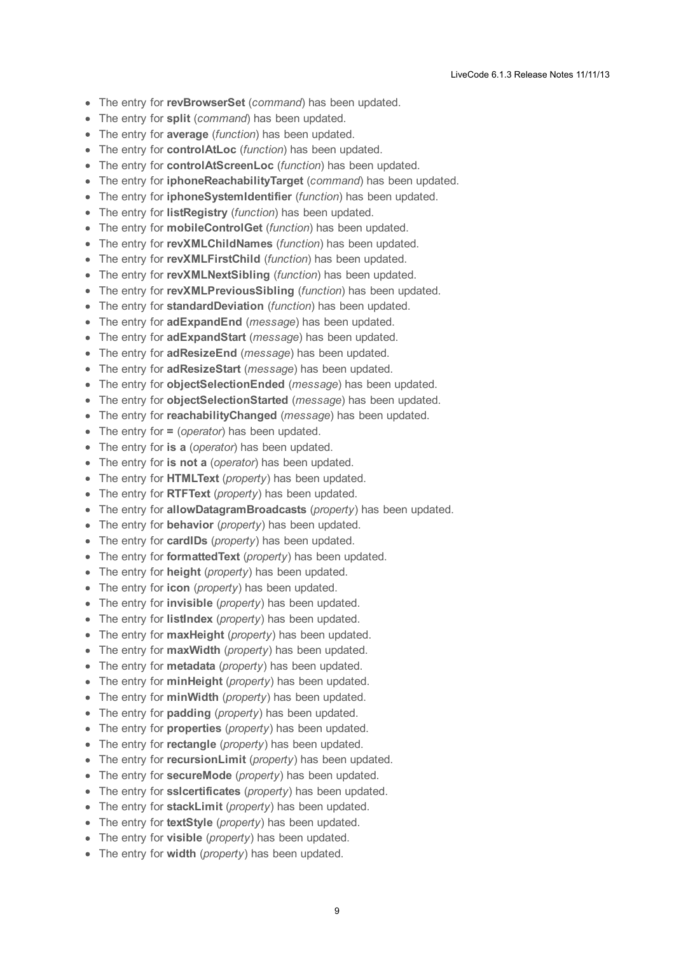- The entry for **revBrowserSet** (*command*) has been updated.
- The entry for **split** (*command*) has been updated.  $\bullet$
- The entry for **average** (*function*) has been updated.
- The entry for **controlAtLoc** (*function*) has been updated.
- The entry for **controlAtScreenLoc** (*function*) has been updated.
- The entry for **iphoneReachabilityTarget** (*command*) has been updated.  $\bullet$
- The entry for **iphoneSystemIdentifier** (*function*) has been updated.
- The entry for **listRegistry** (*function*) has been updated.
- The entry for **mobileControlGet** (*function*) has been updated.
- The entry for **revXMLChildNames** (*function*) has been updated.
- The entry for **revXMLFirstChild** (*function*) has been updated.
- The entry for **revXMLNextSibling** (*function*) has been updated.
- The entry for **revXMLPreviousSibling** (*function*) has been updated.
- The entry for **standardDeviation** (*function*) has been updated.
- The entry for **adExpandEnd** (*message*) has been updated.
- The entry for **adExpandStart** (*message*) has been updated.
- The entry for **adResizeEnd** (*message*) has been updated.
- The entry for **adResizeStart** (*message*) has been updated.
- The entry for **objectSelectionEnded** (*message*) has been updated.
- The entry for **objectSelectionStarted** (*message*) has been updated.
- The entry for **reachabilityChanged** (*message*) has been updated.
- The entry for **=** (*operator*) has been updated.
- The entry for **is a** (*operator*) has been updated.
- The entry for **is not a** (*operator*) has been updated.
- The entry for **HTMLText** (*property*) has been updated.
- The entry for **RTFText** (*property*) has been updated.
- The entry for **allowDatagramBroadcasts** (*property*) has been updated.
- The entry for **behavior** (*property*) has been updated.
- The entry for **cardIDs** (*property*) has been updated.
- The entry for **formattedText** (*property*) has been updated.
- The entry for **height** (*property*) has been updated.
- The entry for **icon** (*property*) has been updated.
- The entry for **invisible** (*property*) has been updated.
- The entry for **listIndex** (*property*) has been updated.
- The entry for **maxHeight** (*property*) has been updated.
- The entry for **maxWidth** (*property*) has been updated.
- The entry for **metadata** (*property*) has been updated.
- The entry for **minHeight** (*property*) has been updated.
- The entry for **minWidth** (*property*) has been updated.
- The entry for **padding** (*property*) has been updated.
- The entry for **properties** (*property*) has been updated.
- The entry for **rectangle** (*property*) has been updated.
- The entry for **recursionLimit** (*property*) has been updated.
- The entry for **secureMode** (*property*) has been updated.
- The entry for **sslcertificates** (*property*) has been updated.
- The entry for **stackLimit** (*property*) has been updated.
- The entry for **textStyle** (*property*) has been updated.
- The entry for **visible** (*property*) has been updated.
- The entry for **width** (*property*) has been updated.